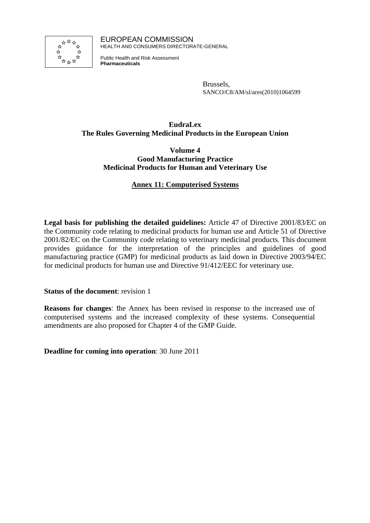

EUROPEAN COMMISSION HEALTH AND CONSUMERS DIRECTORATE-GENERAL

Public Health and Risk Assessment **Pharmaceuticals**

> Brussels, SANCO/C8/AM/sl/ares(2010)1064599

# **EudraLex The Rules Governing Medicinal Products in the European Union**

**Volume 4 Good Manufacturing Practice Medicinal Products for Human and Veterinary Use** 

## **Annex 11: Computerised Systems**

**Legal basis for publishing the detailed guidelines:** Article 47 of Directive 2001/83/EC on the Community code relating to medicinal products for human use and Article 51 of Directive 2001/82/EC on the Community code relating to veterinary medicinal products. This document provides guidance for the interpretation of the principles and guidelines of good manufacturing practice (GMP) for medicinal products as laid down in Directive 2003/94/EC for medicinal products for human use and Directive 91/412/EEC for veterinary use.

#### **Status of the document**: revision 1

**Reasons for changes**: the Annex has been revised in response to the increased use of computerised systems and the increased complexity of these systems. Consequential amendments are also proposed for Chapter 4 of the GMP Guide.

**Deadline for coming into operation**: 30 June 2011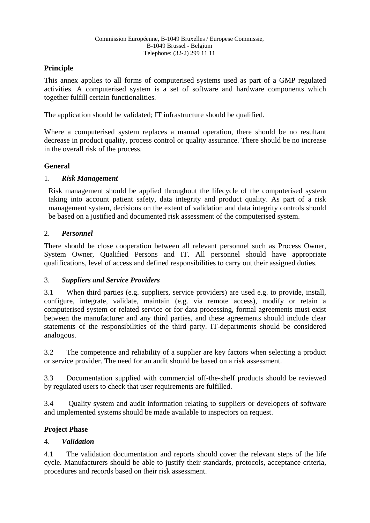## **Principle**

This annex applies to all forms of computerised systems used as part of a GMP regulated activities. A computerised system is a set of software and hardware components which together fulfill certain functionalities.

The application should be validated; IT infrastructure should be qualified.

Where a computerised system replaces a manual operation, there should be no resultant decrease in product quality, process control or quality assurance. There should be no increase in the overall risk of the process.

## **General**

### 1. *Risk Management*

Risk management should be applied throughout the lifecycle of the computerised system taking into account patient safety, data integrity and product quality. As part of a risk management system, decisions on the extent of validation and data integrity controls should be based on a justified and documented risk assessment of the computerised system.

### 2. *Personnel*

There should be close cooperation between all relevant personnel such as Process Owner, System Owner, Qualified Persons and IT. All personnel should have appropriate qualifications, level of access and defined responsibilities to carry out their assigned duties.

## 3. *Suppliers and Service Providers*

3.1 When third parties (e.g. suppliers, service providers) are used e.g. to provide, install, configure, integrate, validate, maintain (e.g. via remote access), modify or retain a computerised system or related service or for data processing, formal agreements must exist between the manufacturer and any third parties, and these agreements should include clear statements of the responsibilities of the third party. IT-departments should be considered analogous.

3.2 The competence and reliability of a supplier are key factors when selecting a product or service provider. The need for an audit should be based on a risk assessment.

3.3 Documentation supplied with commercial off-the-shelf products should be reviewed by regulated users to check that user requirements are fulfilled.

3.4 Quality system and audit information relating to suppliers or developers of software and implemented systems should be made available to inspectors on request.

## **Project Phase**

## 4. *Validation*

4.1 The validation documentation and reports should cover the relevant steps of the life cycle. Manufacturers should be able to justify their standards, protocols, acceptance criteria, procedures and records based on their risk assessment.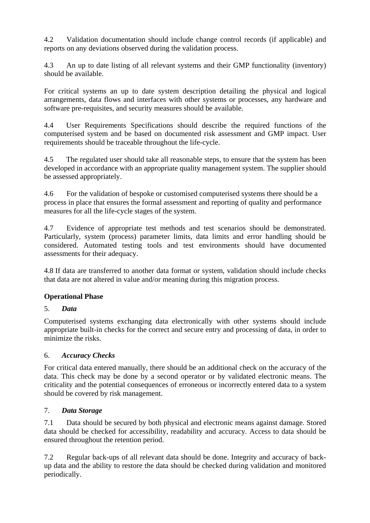4.2 Validation documentation should include change control records (if applicable) and reports on any deviations observed during the validation process.

4.3 An up to date listing of all relevant systems and their GMP functionality (inventory) should be available.

For critical systems an up to date system description detailing the physical and logical arrangements, data flows and interfaces with other systems or processes, any hardware and software pre-requisites, and security measures should be available.

4.4 User Requirements Specifications should describe the required functions of the computerised system and be based on documented risk assessment and GMP impact. User requirements should be traceable throughout the life-cycle.

4.5 The regulated user should take all reasonable steps, to ensure that the system has been developed in accordance with an appropriate quality management system. The supplier should be assessed appropriately.

4.6 For the validation of bespoke or customised computerised systems there should be a process in place that ensures the formal assessment and reporting of quality and performance measures for all the life-cycle stages of the system.

4.7 Evidence of appropriate test methods and test scenarios should be demonstrated. Particularly, system (process) parameter limits, data limits and error handling should be considered. Automated testing tools and test environments should have documented assessments for their adequacy.

4.8 If data are transferred to another data format or system, validation should include checks that data are not altered in value and/or meaning during this migration process.

# **Operational Phase**

## 5. *Data*

Computerised systems exchanging data electronically with other systems should include appropriate built-in checks for the correct and secure entry and processing of data, in order to minimize the risks.

## 6. *Accuracy Checks*

For critical data entered manually, there should be an additional check on the accuracy of the data. This check may be done by a second operator or by validated electronic means. The criticality and the potential consequences of erroneous or incorrectly entered data to a system should be covered by risk management.

# 7. *Data Storage*

7.1 Data should be secured by both physical and electronic means against damage. Stored data should be checked for accessibility, readability and accuracy. Access to data should be ensured throughout the retention period.

7.2 Regular back-ups of all relevant data should be done. Integrity and accuracy of backup data and the ability to restore the data should be checked during validation and monitored periodically.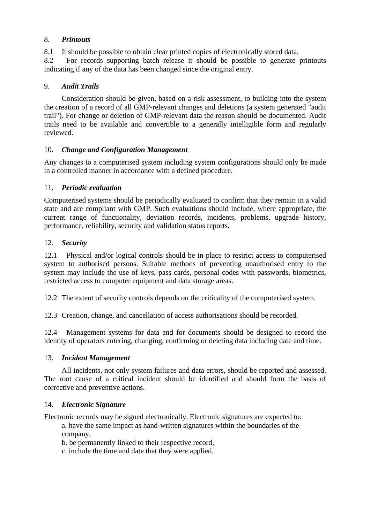## 8. *Printouts*

8.1 It should be possible to obtain clear printed copies of electronically stored data.

8.2 For records supporting batch release it should be possible to generate printouts indicating if any of the data has been changed since the original entry.

### 9. *Audit Trails*

Consideration should be given, based on a risk assessment, to building into the system the creation of a record of all GMP-relevant changes and deletions (a system generated "audit trail"). For change or deletion of GMP-relevant data the reason should be documented. Audit trails need to be available and convertible to a generally intelligible form and regularly reviewed.

## 10. *Change and Configuration Management*

Any changes to a computerised system including system configurations should only be made in a controlled manner in accordance with a defined procedure.

### 11. *Periodic evaluation*

Computerised systems should be periodically evaluated to confirm that they remain in a valid state and are compliant with GMP. Such evaluations should include, where appropriate, the current range of functionality, deviation records, incidents, problems, upgrade history, performance, reliability, security and validation status reports.

### 12. *Security*

12.1 Physical and/or logical controls should be in place to restrict access to computerised system to authorised persons. Suitable methods of preventing unauthorised entry to the system may include the use of keys, pass cards, personal codes with passwords, biometrics, restricted access to computer equipment and data storage areas.

12.2 The extent of security controls depends on the criticality of the computerised system.

12.3 Creation, change, and cancellation of access authorisations should be recorded.

12.4 Management systems for data and for documents should be designed to record the identity of operators entering, changing, confirming or deleting data including date and time.

#### 13. *Incident Management*

All incidents, not only system failures and data errors, should be reported and assessed. The root cause of a critical incident should be identified and should form the basis of corrective and preventive actions.

## 14. *Electronic Signature*

Electronic records may be signed electronically. Electronic signatures are expected to:

a. have the same impact as hand-written signatures within the boundaries of the company,

b. be permanently linked to their respective record,

c. include the time and date that they were applied.